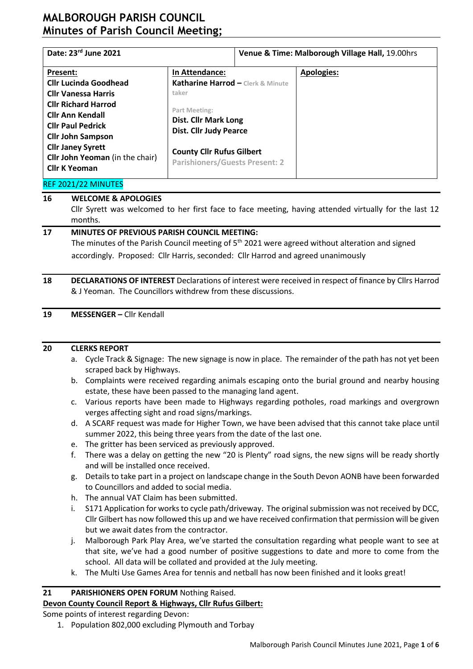| Date: 23rd June 2021                   |                                              | Venue & Time: Malborough Village Hall, 19.00hrs |                   |  |  |  |
|----------------------------------------|----------------------------------------------|-------------------------------------------------|-------------------|--|--|--|
| Present:                               | In Attendance:                               |                                                 | <b>Apologies:</b> |  |  |  |
| <b>Cllr Lucinda Goodhead</b>           | Katharine Harrod - Clerk & Minute            |                                                 |                   |  |  |  |
| <b>Cllr Vanessa Harris</b>             | taker                                        |                                                 |                   |  |  |  |
| <b>Cllr Richard Harrod</b>             |                                              |                                                 |                   |  |  |  |
| <b>Cllr Ann Kendall</b>                | Part Meeting:<br><b>Dist. Cllr Mark Long</b> |                                                 |                   |  |  |  |
| <b>Cllr Paul Pedrick</b>               | <b>Dist. Cllr Judy Pearce</b>                |                                                 |                   |  |  |  |
| <b>Cllr John Sampson</b>               |                                              |                                                 |                   |  |  |  |
| <b>Cllr Janey Syrett</b>               | <b>County Cllr Rufus Gilbert</b>             |                                                 |                   |  |  |  |
| <b>Cllr John Yeoman</b> (in the chair) | <b>Parishioners/Guests Present: 2</b>        |                                                 |                   |  |  |  |
| <b>Cllr K Yeoman</b>                   |                                              |                                                 |                   |  |  |  |
| REF 2021/22 MINUTES                    |                                              |                                                 |                   |  |  |  |

# **16 WELCOME & APOLOGIES**

Cllr Syrett was welcomed to her first face to face meeting, having attended virtually for the last 12 months.

### **17 MINUTES OF PREVIOUS PARISH COUNCIL MEETING:**

The minutes of the Parish Council meeting of  $5<sup>th</sup>$  2021 were agreed without alteration and signed accordingly. Proposed: Cllr Harris, seconded: Cllr Harrod and agreed unanimously

### **18 DECLARATIONS OF INTEREST** Declarations of interest were received in respect of finance by Cllrs Harrod & J Yeoman. The Councillors withdrew from these discussions.

### **19 MESSENGER –** Cllr Kendall

### **20 CLERKS REPORT**

- a. Cycle Track & Signage: The new signage is now in place. The remainder of the path has not yet been scraped back by Highways.
- b. Complaints were received regarding animals escaping onto the burial ground and nearby housing estate, these have been passed to the managing land agent.
- c. Various reports have been made to Highways regarding potholes, road markings and overgrown verges affecting sight and road signs/markings.
- d. A SCARF request was made for Higher Town, we have been advised that this cannot take place until summer 2022, this being three years from the date of the last one.
- e. The gritter has been serviced as previously approved.
- f. There was a delay on getting the new "20 is Plenty" road signs, the new signs will be ready shortly and will be installed once received.
- g. Details to take part in a project on landscape change in the South Devon AONB have been forwarded to Councillors and added to social media.
- h. The annual VAT Claim has been submitted.
- i. S171 Application for works to cycle path/driveway. The original submission was not received by DCC, Cllr Gilbert has now followed this up and we have received confirmation that permission will be given but we await dates from the contractor.
- j. Malborough Park Play Area, we've started the consultation regarding what people want to see at that site, we've had a good number of positive suggestions to date and more to come from the school. All data will be collated and provided at the July meeting.
- k. The Multi Use Games Area for tennis and netball has now been finished and it looks great!

# **21 PARISHIONERS OPEN FORUM** Nothing Raised.

### **Devon County Council Report & Highways, Cllr Rufus Gilbert:**

Some points of interest regarding Devon:

1. Population 802,000 excluding Plymouth and Torbay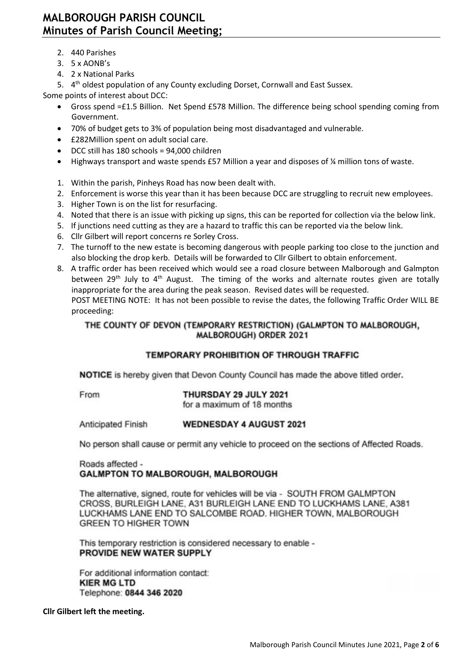- 2. 440 Parishes
- 3. 5 x AONB's
- 4. 2 x National Parks

5. 4<sup>th</sup> oldest population of any County excluding Dorset, Cornwall and East Sussex.

Some points of interest about DCC:

- Gross spend =£1.5 Billion. Net Spend £578 Million. The difference being school spending coming from Government.
- 70% of budget gets to 3% of population being most disadvantaged and vulnerable.
- £282Million spent on adult social care.
- DCC still has 180 schools = 94,000 children
- Highways transport and waste spends £57 Million a year and disposes of ¼ million tons of waste.
- 1. Within the parish, Pinheys Road has now been dealt with.
- 2. Enforcement is worse this year than it has been because DCC are struggling to recruit new employees.
- 3. Higher Town is on the list for resurfacing.
- 4. Noted that there is an issue with picking up signs, this can be reported for collection via the below link.
- 5. If junctions need cutting as they are a hazard to traffic this can be reported via the below link.
- 6. Cllr Gilbert will report concerns re Sorley Cross.
- 7. The turnoff to the new estate is becoming dangerous with people parking too close to the junction and also blocking the drop kerb. Details will be forwarded to Cllr Gilbert to obtain enforcement.
- 8. A traffic order has been received which would see a road closure between Malborough and Galmpton between 29<sup>th</sup> July to  $4<sup>th</sup>$  August. The timing of the works and alternate routes given are totally inappropriate for the area during the peak season. Revised dates will be requested. POST MEETING NOTE: It has not been possible to revise the dates, the following Traffic Order WILL BE

proceeding:

# THE COUNTY OF DEVON (TEMPORARY RESTRICTION) (GALMPTON TO MALBOROUGH, MALBOROUGH) ORDER 2021

# **TEMPORARY PROHIBITION OF THROUGH TRAFFIC**

**NOTICE** is hereby given that Devon County Council has made the above titled order.

From

THURSDAY 29 JULY 2021

for a maximum of 18 months

**Anticipated Finish WEDNESDAY 4 AUGUST 2021** 

No person shall cause or permit any vehicle to proceed on the sections of Affected Roads.

## Roads affected -**GALMPTON TO MALBOROUGH, MALBOROUGH**

The alternative, signed, route for vehicles will be via - SOUTH FROM GALMPTON CROSS, BURLEIGH LANE, A31 BURLEIGH LANE END TO LUCKHAMS LANE, A381 LUCKHAMS LANE END TO SALCOMBE ROAD. HIGHER TOWN, MALBOROUGH **GREEN TO HIGHER TOWN** 

This temporary restriction is considered necessary to enable -PROVIDE NEW WATER SUPPLY

For additional information contact: **KIER MG LTD** Telephone: 0844 346 2020

**Cllr Gilbert left the meeting.**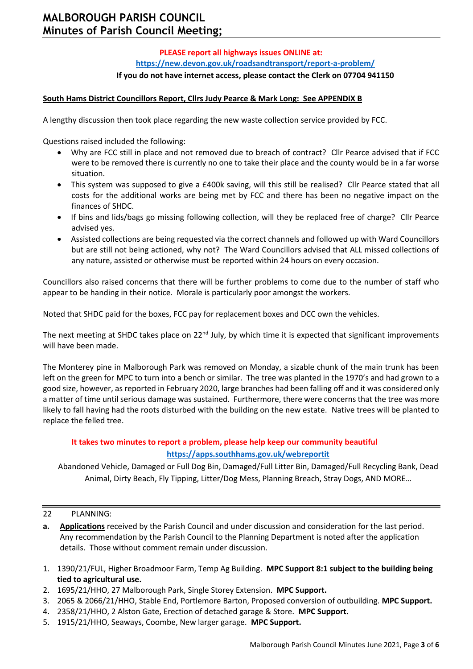# **PLEASE report all highways issues ONLINE at: <https://new.devon.gov.uk/roadsandtransport/report-a-problem/>**

### **If you do not have internet access, please contact the Clerk on 07704 941150**

### **South Hams District Councillors Report, Cllrs Judy Pearce & Mark Long: See APPENDIX B**

A lengthy discussion then took place regarding the new waste collection service provided by FCC.

Questions raised included the following:

- Why are FCC still in place and not removed due to breach of contract? Cllr Pearce advised that if FCC were to be removed there is currently no one to take their place and the county would be in a far worse situation.
- This system was supposed to give a £400k saving, will this still be realised? Cllr Pearce stated that all costs for the additional works are being met by FCC and there has been no negative impact on the finances of SHDC.
- If bins and lids/bags go missing following collection, will they be replaced free of charge? Cllr Pearce advised yes.
- Assisted collections are being requested via the correct channels and followed up with Ward Councillors but are still not being actioned, why not? The Ward Councillors advised that ALL missed collections of any nature, assisted or otherwise must be reported within 24 hours on every occasion.

Councillors also raised concerns that there will be further problems to come due to the number of staff who appear to be handing in their notice. Morale is particularly poor amongst the workers.

Noted that SHDC paid for the boxes, FCC pay for replacement boxes and DCC own the vehicles.

The next meeting at SHDC takes place on  $22^{nd}$  July, by which time it is expected that significant improvements will have been made.

The Monterey pine in Malborough Park was removed on Monday, a sizable chunk of the main trunk has been left on the green for MPC to turn into a bench or similar. The tree was planted in the 1970's and had grown to a good size, however, as reported in February 2020, large branches had been falling off and it was considered only a matter of time until serious damage was sustained. Furthermore, there were concerns that the tree was more likely to fall having had the roots disturbed with the building on the new estate. Native trees will be planted to replace the felled tree.

# **It takes two minutes to report a problem, please help keep our community beautiful <https://apps.southhams.gov.uk/webreportit>**

Abandoned Vehicle, Damaged or Full Dog Bin, Damaged/Full Litter Bin, Damaged/Full Recycling Bank, Dead Animal, Dirty Beach, Fly Tipping, Litter/Dog Mess, Planning Breach, Stray Dogs, AND MORE…

### 22 PLANNING:

- **a. Applications** received by the Parish Council and under discussion and consideration for the last period. Any recommendation by the Parish Council to the Planning Department is noted after the application details. Those without comment remain under discussion.
- 1. 1390/21/FUL, Higher Broadmoor Farm, Temp Ag Building. **MPC Support 8:1 subject to the building being tied to agricultural use.**
- 2. 1695/21/HHO, 27 Malborough Park, Single Storey Extension. **MPC Support.**
- 3. 2065 & 2066/21/HHO, Stable End, Portlemore Barton, Proposed conversion of outbuilding. **MPC Support.**
- 4. 2358/21/HHO, 2 Alston Gate, Erection of detached garage & Store. **MPC Support.**
- 5. 1915/21/HHO, Seaways, Coombe, New larger garage. **MPC Support.**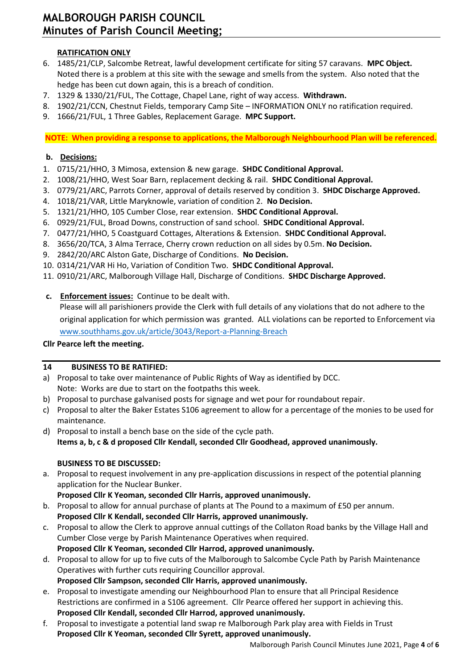# **RATIFICATION ONLY**

- 6. 1485/21/CLP, Salcombe Retreat, lawful development certificate for siting 57 caravans. **MPC Object.** Noted there is a problem at this site with the sewage and smells from the system. Also noted that the hedge has been cut down again, this is a breach of condition.
- 7. 1329 & 1330/21/FUL, The Cottage, Chapel Lane, right of way access. **Withdrawn.**
- 8. 1902/21/CCN, Chestnut Fields, temporary Camp Site INFORMATION ONLY no ratification required.
- 9. 1666/21/FUL, 1 Three Gables, Replacement Garage. **MPC Support.**

**NOTE: When providing a response to applications, the Malborough Neighbourhood Plan will be referenced.**

# **b. Decisions:**

- 1. 0715/21/HHO, 3 Mimosa, extension & new garage. **SHDC Conditional Approval.**
- 2. 1008/21/HHO, West Soar Barn, replacement decking & rail. **SHDC Conditional Approval.**
- 3. 0779/21/ARC, Parrots Corner, approval of details reserved by condition 3. **SHDC Discharge Approved.**
- 4. 1018/21/VAR, Little Maryknowle, variation of condition 2. **No Decision.**
- 5. 1321/21/HHO, 105 Cumber Close, rear extension. **SHDC Conditional Approval.**
- 6. 0929/21/FUL, Broad Downs, construction of sand school. **SHDC Conditional Approval.**
- 7. 0477/21/HHO, 5 Coastguard Cottages, Alterations & Extension. **SHDC Conditional Approval.**
- 8. 3656/20/TCA, 3 Alma Terrace, Cherry crown reduction on all sides by 0.5m. **No Decision.**
- 9. 2842/20/ARC Alston Gate, Discharge of Conditions. **No Decision.**
- 10. 0314/21/VAR Hi Ho, Variation of Condition Two. **SHDC Conditional Approval.**
- 11. 0910/21/ARC, Malborough Village Hall, Discharge of Conditions. **SHDC Discharge Approved.**
- **c. Enforcement issues:** Continue to be dealt with.

Please will all parishioners provide the Clerk with full details of any violations that do not adhere to the original application for which permission was granted. ALL violations can be reported to Enforcement via [www.southhams.gov.uk/article/3043/Report-a-Planning-Breach](http://www.southhams.gov.uk/article/3043/Report-a-Planning-Breach)

## **Cllr Pearce left the meeting.**

## **14 BUSINESS TO BE RATIFIED:**

- a) Proposal to take over maintenance of Public Rights of Way as identified by DCC. Note: Works are due to start on the footpaths this week.
- b) Proposal to purchase galvanised posts for signage and wet pour for roundabout repair.
- c) Proposal to alter the Baker Estates S106 agreement to allow for a percentage of the monies to be used for maintenance.
- d) Proposal to install a bench base on the side of the cycle path. **Items a, b, c & d proposed Cllr Kendall, seconded Cllr Goodhead, approved unanimously.**

## **BUSINESS TO BE DISCUSSED:**

a. Proposal to request involvement in any pre-application discussions in respect of the potential planning application for the Nuclear Bunker.

**Proposed Cllr K Yeoman, seconded Cllr Harris, approved unanimously.**

- b. Proposal to allow for annual purchase of plants at The Pound to a maximum of £50 per annum. **Proposed Cllr K Kendall, seconded Cllr Harris, approved unanimously.**
- c. Proposal to allow the Clerk to approve annual cuttings of the Collaton Road banks by the Village Hall and Cumber Close verge by Parish Maintenance Operatives when required. **Proposed Cllr K Yeoman, seconded Cllr Harrod, approved unanimously.**
- d. Proposal to allow for up to five cuts of the Malborough to Salcombe Cycle Path by Parish Maintenance Operatives with further cuts requiring Councillor approval. **Proposed Cllr Sampson, seconded Cllr Harris, approved unanimously.**
- e. Proposal to investigate amending our Neighbourhood Plan to ensure that all Principal Residence Restrictions are confirmed in a S106 agreement. Cllr Pearce offered her support in achieving this. **Proposed Cllr Kendall, seconded Cllr Harrod, approved unanimously.**
- f. Proposal to investigate a potential land swap re Malborough Park play area with Fields in Trust **Proposed Cllr K Yeoman, seconded Cllr Syrett, approved unanimously.**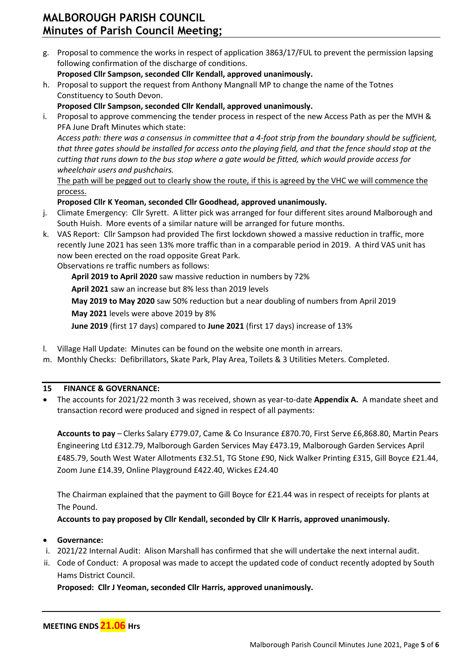g. Proposal to commence the works in respect of application 3863/17/FUL to prevent the permission lapsing following confirmation of the discharge of conditions.

**Proposed Cllr Sampson, seconded Cllr Kendall, approved unanimously.**

h. Proposal to support the request from Anthony Mangnall MP to change the name of the Totnes Constituency to South Devon.

**Proposed Cllr Sampson, seconded Cllr Kendall, approved unanimously.**

i. Proposal to approve commencing the tender process in respect of the new Access Path as per the MVH & PFA June Draft Minutes which state:

*Access path: there was a consensus in committee that a 4-foot strip from the boundary should be sufficient, that three gates should be installed for access onto the playing field, and that the fence should stop at the cutting that runs down to the bus stop where a gate would be fitted, which would provide access for wheelchair users and pushchairs.*

The path will be pegged out to clearly show the route, if this is agreed by the VHC we will commence the process.

## **Proposed Cllr K Yeoman, seconded Cllr Goodhead, approved unanimously.**

- j. Climate Emergency: Cllr Syrett. A litter pick was arranged for four different sites around Malborough and South Huish. More events of a similar nature will be arranged for future months.
- k. VAS Report: Cllr Sampson had provided The first lockdown showed a massive reduction in traffic, more recently June 2021 has seen 13% more traffic than in a comparable period in 2019. A third VAS unit has now been erected on the road opposite Great Park.

Observations re traffic numbers as follows:

**April 2019 to April 2020** saw massive reduction in numbers by 72%

**April 2021** saw an increase but 8% less than 2019 levels

**May 2019 to May 2020** saw 50% reduction but a near doubling of numbers from April 2019 **May 2021** levels were above 2019 by 8%

**June 2019** (first 17 days) compared to **June 2021** (first 17 days) increase of 13%

- l. Village Hall Update: Minutes can be found on the website one month in arrears.
- m. Monthly Checks: Defibrillators, Skate Park, Play Area, Toilets & 3 Utilities Meters. Completed.

### **15 FINANCE & GOVERNANCE:**

• The accounts for 2021/22 month 3 was received, shown as year-to-date **Appendix A.** A mandate sheet and transaction record were produced and signed in respect of all payments:

**Accounts to pay** – Clerks Salary £779.07, Came & Co Insurance £870.70, First Serve £6,868.80, Martin Pears Engineering Ltd £312.79, Malborough Garden Services May £473.19, Malborough Garden Services April £485.79, South West Water Allotments £32.51, TG Stone £90, Nick Walker Printing £315, Gill Boyce £21.44, Zoom June £14.39, Online Playground £422.40, Wickes £24.40

The Chairman explained that the payment to Gill Boyce for £21.44 was in respect of receipts for plants at The Pound.

**Accounts to pay proposed by Cllr Kendall, seconded by Cllr K Harris, approved unanimously.** 

### • **Governance:**

l

- i. 2021/22 Internal Audit: Alison Marshall has confirmed that she will undertake the next internal audit.
- ii. Code of Conduct: A proposal was made to accept the updated code of conduct recently adopted by South Hams District Council.

**Proposed: Cllr J Yeoman, seconded Cllr Harris, approved unanimously.**